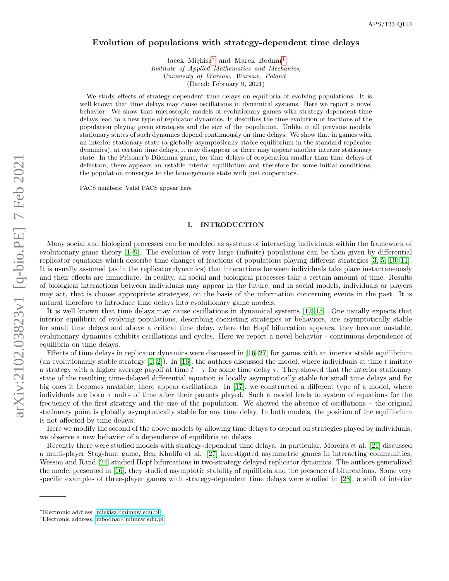# Evolution of populations with strategy-dependent time delays

Jacek Miękisz<sup>[∗](#page-0-0)</sup> and Marek Bodnar<sup>[†](#page-0-1)</sup> Institute of Applied Mathematics and Mechanics, University of Warsaw, Warsaw, Poland (Dated: February 9, 2021)

We study effects of strategy-dependent time delays on equilibria of evolving populations. It is well known that time delays may cause oscillations in dynamical systems. Here we report a novel behavior. We show that microscopic models of evolutionary games with strategy-dependent time delays lead to a new type of replicator dynamics. It describes the time evolution of fractions of the population playing given strategies and the size of the population. Unlike in all previous models, stationary states of such dynamics depend continuously on time delays. We show that in games with an interior stationary state (a globally asymptotically stable equilibrium in the standard replicator dynamics), at certain time delays, it may disappear or there may appear another interior stationary state. In the Prisoner's Dilemma game, for time delays of cooperation smaller than time delays of defection, there appears an ustable interior equilibrium and therefore for some initial conditions, the population converges to the homogeneous state with just cooperators.

PACS numbers: Valid PACS appear here

# I. INTRODUCTION

Many social and biological processes can be modeled as systems of interacting individuals within the framework of evolutionary game theory [\[1–](#page-14-0)[9\]](#page-15-0). The evolution of very large (infinite) populations can be then given by differential replicator equations which describe time changes of fractions of populations playing different strategies [\[3,](#page-14-1) [5,](#page-15-1) [10,](#page-15-2) [11\]](#page-15-3). It is usually assumed (as in the replicator dynamics) that interactions between individuals take place instantaneously and their effects are immediate. In reality, all social and biological processes take a certain amount of time. Results of biological interactions between individuals may appear in the future, and in social models, individuals or players may act, that is choose appropriate strategies, on the basis of the information concerning events in the past. It is natural therefore to introduce time delays into evolutionary game models.

It is well known that time delays may cause oscillations in dynamical systems [\[12](#page-15-4)[–15\]](#page-15-5). One usually expects that interior equilibria of evolving populations, describing coexisting strategies or behaviors, are asymptotically stable for small time delays and above a critical time delay, where the Hopf bifurcation appears, they become unstable, evolutionary dynamics exhibits oscillations and cycles. Here we report a novel behavior - continuous dependence of equilibria on time delays.

Effects of time delays in replicator dynamics were discussed in [\[16–](#page-15-6)[27\]](#page-15-7) for games with an interior stable equilibrium (an evolutionarily stable strategy  $(1, 2)$ ). In [\[16\]](#page-15-6), the authors discussed the model, where individuals at time t imitate a strategy with a higher average payoff at time  $t - \tau$  for some time delay  $\tau$ . They showed that the interior stationary state of the resulting time-delayed differential equation is locally asymptotically stable for small time delays and for big ones it becomes unstable, there appear oscillations. In [\[17\]](#page-15-8), we constructed a different type of a model, where individuals are born  $\tau$  units of time after their parents played. Such a model leads to system of equations for the frequency of the first strategy and the size of the population. We showed the absence of oscillations – the original stationary point is globally asymptotically stable for any time delay. In both models, the position of the equilibrium is not affected by time delays.

Here we modify the second of the above models by allowing time delays to depend on strategies played by individuals, we observe a new behavior of a dependence of equilibria on delays.

Recently there were studied models with strategy-dependent time delays. In particular, Moreira et al. [\[21\]](#page-15-9) discussed a multi-player Stag-hunt game, Ben Khalifa et al. [\[27\]](#page-15-7) investigated asymmetric games in interacting communities, Wesson and Rand [\[24\]](#page-15-10) studied Hopf bifurcations in two-strategy delayed replicator dynamics. The authors generalized the model presented in [\[16\]](#page-15-6), they studied asymptotic stability of equilibria and the presence of bifurcations. Some very specific examples of three-player games with strategy-dependent time delays were studied in [\[28\]](#page-15-11), a shift of interior

<span id="page-0-0"></span><sup>∗</sup>Electronic address: [miekisz@mimuw.edu.pl](mailto:miekisz@mimuw.edu.pl)

<span id="page-0-1"></span><sup>†</sup>Electronic address: [mbodnar@mimuw.edu.pl](mailto:mbodnar@mimuw.edu.pl)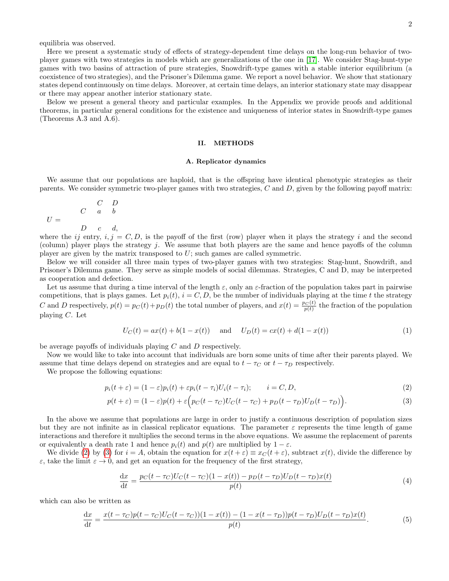equilibria was observed.

Here we present a systematic study of effects of strategy-dependent time delays on the long-run behavior of twoplayer games with two strategies in models which are generalizations of the one in [\[17\]](#page-15-8). We consider Stag-hunt-type games with two basins of attraction of pure strategies, Snowdrift-type games with a stable interior equilibrium (a coexistence of two strategies), and the Prisoner's Dilemma game. We report a novel behavior. We show that stationary states depend continuously on time delays. Moreover, at certain time delays, an interior stationary state may disappear or there may appear another interior stationary state.

Below we present a general theory and particular examples. In the Appendix we provide proofs and additional theorems, in particular general conditions for the existence and uniqueness of interior states in Snowdrift-type games (Theorems A.3 and A.6).

#### II. METHODS

#### A. Replicator dynamics

We assume that our populations are haploid, that is the offspring have identical phenotypic strategies as their parents. We consider symmetric two-player games with two strategies,  $C$  and  $D$ , given by the following payoff matrix:

$$
U = \begin{array}{ccccc} & & C & D \\ & C & a & b \\ & D & c & d, \end{array}
$$

where the ij entry,  $i, j = C, D$ , is the payoff of the first (row) player when it plays the strategy i and the second (column) player plays the strategy j. We assume that both players are the same and hence payoffs of the column player are given by the matrix transposed to U; such games are called symmetric.

Below we will consider all three main types of two-player games with two strategies: Stag-hunt, Snowdrift, and Prisoner's Dilemma game. They serve as simple models of social dilemmas. Strategies, C and D, may be interpreted as cooperation and defection.

Let us assume that during a time interval of the length  $\varepsilon$ , only an  $\varepsilon$ -fraction of the population takes part in pairwise competitions, that is plays games. Let  $p_i(t)$ ,  $i = C, D$ , be the number of individuals playing at the time t the strategy C and D respectively,  $p(t) = p_C(t) + p_D(t)$  the total number of players, and  $x(t) = \frac{p_C(t)}{p(t)}$  the fraction of the population playing C. Let

<span id="page-1-1"></span><span id="page-1-0"></span>
$$
U_C(t) = ax(t) + b(1 - x(t)) \quad \text{and} \quad U_D(t) = cx(t) + d(1 - x(t)) \tag{1}
$$

be average payoffs of individuals playing C and D respectively.

Now we would like to take into account that individuals are born some units of time after their parents played. We assume that time delays depend on strategies and are equal to  $t - \tau_C$  or  $t - \tau_D$  respectively.

We propose the following equations:

$$
p_i(t+\varepsilon) = (1-\varepsilon)p_i(t) + \varepsilon p_i(t-\tau_i)U_i(t-\tau_i); \qquad i = C, D,
$$
\n
$$
(2)
$$

$$
p(t+\varepsilon) = (1-\varepsilon)p(t) + \varepsilon \Big( p_C(t-\tau_C)U_C(t-\tau_C) + p_D(t-\tau_D)U_D(t-\tau_D) \Big). \tag{3}
$$

In the above we assume that populations are large in order to justify a continuous description of population sizes but they are not infinite as in classical replicator equations. The parameter  $\varepsilon$  represents the time length of game interactions and therefore it multiplies the second terms in the above equations. We assume the replacement of parents or equivalently a death rate 1 and hence  $p_i(t)$  and  $p(t)$  are multiplied by  $1 - \varepsilon$ .

We divide [\(2\)](#page-1-0) by [\(3\)](#page-1-1) for  $i = A$ , obtain the equation for  $x(t + \varepsilon) \equiv x_C(t + \varepsilon)$ , subtract  $x(t)$ , divide the difference by  $\varepsilon$ , take the limit  $\varepsilon \to 0$ , and get an equation for the frequency of the first strategy,

<span id="page-1-3"></span>
$$
\frac{dx}{dt} = \frac{p_C(t - \tau_C)U_C(t - \tau_C)(1 - x(t)) - p_D(t - \tau_D)U_D(t - \tau_D)x(t)}{p(t)}
$$
\n(4)

which can also be written as

<span id="page-1-2"></span>
$$
\frac{dx}{dt} = \frac{x(t - \tau_C)p(t - \tau_C)U_C(t - \tau_C)(1 - x(t)) - (1 - x(t - \tau_D))p(t - \tau_D)U_D(t - \tau_D)x(t)}{p(t)}.
$$
\n(5)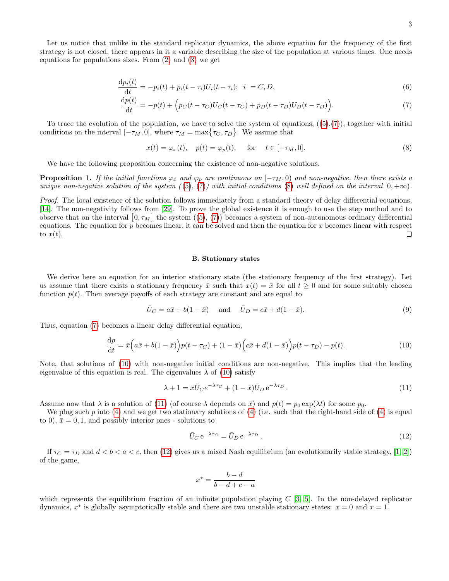Let us notice that unlike in the standard replicator dynamics, the above equation for the frequency of the first strategy is not closed, there appears in it a variable describing the size of the population at various times. One needs equations for populations sizes. From  $(2)$  and  $(3)$  we get

$$
\frac{dp_i(t)}{dt} = -p_i(t) + p_i(t - \tau_i)U_i(t - \tau_i); \quad i = C, D,
$$
\n(6)

$$
\frac{dp(t)}{dt} = -p(t) + \left( p_C(t - \tau_C)U_C(t - \tau_C) + p_D(t - \tau_D)U_D(t - \tau_D) \right).
$$
\n(7)

To trace the evolution of the population, we have to solve the system of equations,  $((5),(7))$  $((5),(7))$  $((5),(7))$  $((5),(7))$  $((5),(7))$ , together with initial conditions on the interval  $[-\tau_M, 0]$ , where  $\tau_M = \max\{\tau_C, \tau_D\}$ . We assume that

<span id="page-2-1"></span><span id="page-2-0"></span>
$$
x(t) = \varphi_x(t), \quad p(t) = \varphi_p(t), \quad \text{for} \quad t \in [-\tau_M, 0]. \tag{8}
$$

We have the following proposition concerning the existence of non-negative solutions.

<span id="page-2-5"></span>**Proposition 1.** If the initial functions  $\varphi_x$  and  $\varphi_p$  are continuous on  $[-\tau_M, 0)$  and non-negative, then there exists a unique non-negative solution of the system  $((5), (7))$  $((5), (7))$  $((5), (7))$  $((5), (7))$  $((5), (7))$  with initial conditions [\(8\)](#page-2-1) well defined on the interval  $[0, +\infty)$ .

Proof. The local existence of the solution follows immediately from a standard theory of delay differential equations, [\[14\]](#page-15-12). The non-negativity follows from [\[29\]](#page-15-13). To prove the global existence it is enough to use the step method and to observe that on the interval  $[0, \tau_M]$  the system  $((5), (7))$  $((5), (7))$  $((5), (7))$  $((5), (7))$  $((5), (7))$  becomes a system of non-autonomous ordinary differential equations. The equation for  $p$  becomes linear, it can be solved and then the equation for x becomes linear with respect  $\Box$ to  $x(t)$ .

## B. Stationary states

We derive here an equation for an interior stationary state (the stationary frequency of the first strategy). Let us assume that there exists a stationary frequency  $\bar{x}$  such that  $x(t) = \bar{x}$  for all  $t \geq 0$  and for some suitably chosen function  $p(t)$ . Then average payoffs of each strategy are constant and are equal to

$$
\overline{U}_C = a\overline{x} + b(1 - \overline{x}) \quad \text{and} \quad \overline{U}_D = c\overline{x} + d(1 - \overline{x}). \tag{9}
$$

Thus, equation [\(7\)](#page-2-0) becomes a linear delay differential equation,

<span id="page-2-2"></span>
$$
\frac{\mathrm{d}p}{\mathrm{d}t} = \bar{x}\left(a\bar{x} + b(1-\bar{x})\right)p(t-\tau_C) + (1-\bar{x})\left(c\bar{x} + d(1-\bar{x})\right)p(t-\tau_D) - p(t). \tag{10}
$$

Note, that solutions of [\(10\)](#page-2-2) with non-negative initial conditions are non-negative. This implies that the leading eigenvalue of this equation is real. The eigenvalues  $\lambda$  of [\(10\)](#page-2-2) satisfy

<span id="page-2-3"></span>
$$
\lambda + 1 = \bar{x}\bar{U}_C e^{-\lambda \tau_C} + (1 - \bar{x})\bar{U}_D e^{-\lambda \tau_D}.
$$
\n
$$
(11)
$$

Assume now that  $\lambda$  is a solution of [\(11\)](#page-2-3) (of course  $\lambda$  depends on  $\bar{x}$ ) and  $p(t) = p_0 \exp(\lambda t)$  for some  $p_0$ .

We plug such p into [\(4\)](#page-1-3) and we get two stationary solutions of (4) (i.e. such that the right-hand side of (4) is equal to 0),  $\bar{x} = 0, 1$ , and possibly interior ones - solutions to

<span id="page-2-4"></span>
$$
\bar{U}_C e^{-\lambda \tau_C} = \bar{U}_D e^{-\lambda \tau_D}.
$$
\n(12)

If  $\tau_C = \tau_D$  and  $d < b < a < c$ , then [\(12\)](#page-2-4) gives us a mixed Nash equilibrium (an evolutionarily stable strategy, [\[1,](#page-14-0) [2\]](#page-14-2)) of the game,

$$
x^* = \frac{b-d}{b-d+c-a}
$$

which represents the equilibrium fraction of an infinite population playing  $C$  [\[3,](#page-14-1) [5\]](#page-15-1). In the non-delayed replicator dynamics,  $x^*$  is globally asymptotically stable and there are two unstable stationary states:  $x = 0$  and  $x = 1$ .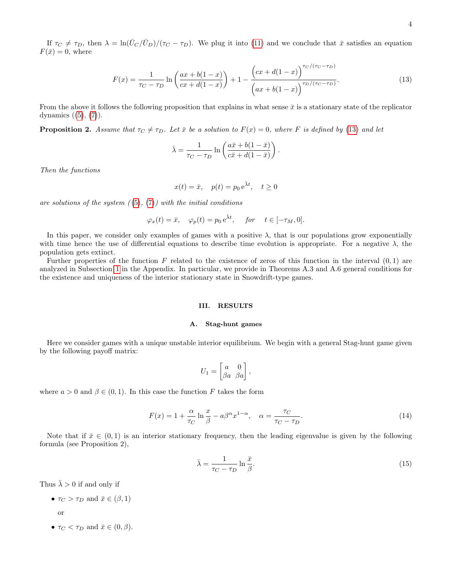If  $\tau_C \neq \tau_D$ , then  $\lambda = \ln(\bar{U}_C/\bar{U}_D)/(\tau_C - \tau_D)$ . We plug it into [\(11\)](#page-2-3) and we conclude that  $\bar{x}$  satisfies an equation  $F(\bar{x})=0$ , where

<span id="page-3-0"></span>
$$
F(x) = \frac{1}{\tau_C - \tau_D} \ln \left( \frac{ax + b(1-x)}{cx + d(1-x)} \right) + 1 - \frac{\left( cx + d(1-x) \right)^{\tau_C/(\tau_C - \tau_D)}}{\left( ax + b(1-x) \right)^{\tau_D/(\tau_C - \tau_D)}}.
$$
(13)

.

From the above it follows the following proposition that explains in what sense  $\bar{x}$  is a stationary state of the replicator dynamics  $((5), (7))$  $((5), (7))$  $((5), (7))$  $((5), (7))$  $((5), (7))$ .

**Proposition 2.** Assume that  $\tau_C \neq \tau_D$ . Let  $\bar{x}$  be a solution to  $F(x) = 0$ , where F is defined by [\(13\)](#page-3-0) and let

$$
\bar{\lambda} = \frac{1}{\tau_C - \tau_D} \ln \left( \frac{a\bar{x} + b(1 - \bar{x})}{c\bar{x} + d(1 - \bar{x})} \right)
$$

Then the functions

$$
x(t) = \bar{x}, \quad p(t) = p_0 e^{\bar{\lambda}t}, \quad t \ge 0
$$

are solutions of the system  $(5), (7)$  $(5), (7)$  $(5), (7)$  with the initial conditions

$$
\varphi_x(t) = \bar{x}, \quad \varphi_p(t) = p_0 e^{\bar{\lambda}t}, \quad \text{for} \quad t \in [-\tau_M, 0].
$$

In this paper, we consider only examples of games with a positive  $\lambda$ , that is our populations grow exponentially with time hence the use of differential equations to describe time evolution is appropriate. For a negative  $\lambda$ , the population gets extinct.

Further properties of the function F related to the existence of zeros of this function in the interval  $(0,1)$  are analyzed in Subsection [1](#page-9-0) in the Appendix. In particular, we provide in Theorems A.3 and A.6 general conditions for the existence and uniqueness of the interior stationary state in Snowdrift-type games.

# III. RESULTS

#### A. Stag-hunt games

Here we consider games with a unique unstable interior equilibrium. We begin with a general Stag-hunt game given by the following payoff matrix:

$$
U_1 = \begin{bmatrix} a & 0 \\ \beta a & \beta a \end{bmatrix},
$$

where  $a > 0$  and  $\beta \in (0, 1)$ . In this case the function F takes the form

<span id="page-3-1"></span>
$$
F(x) = 1 + \frac{\alpha}{\tau_C} \ln \frac{x}{\beta} - a\beta^{\alpha} x^{1-\alpha}, \quad \alpha = \frac{\tau_C}{\tau_C - \tau_D}.
$$
\n(14)

Note that if  $\bar{x} \in (0,1)$  is an interior stationary frequency, then the leading eigenvalue is given by the following formula (see Proposition 2),

$$
\bar{\lambda} = \frac{1}{\tau_C - \tau_D} \ln \frac{\bar{x}}{\beta}.
$$
\n(15)

Thus  $\bar{\lambda} > 0$  if and only if

•  $\tau_C > \tau_D$  and  $\bar{x} \in (\beta, 1)$ 

or

•  $\tau_C < \tau_D$  and  $\bar{x} \in (0, \beta)$ .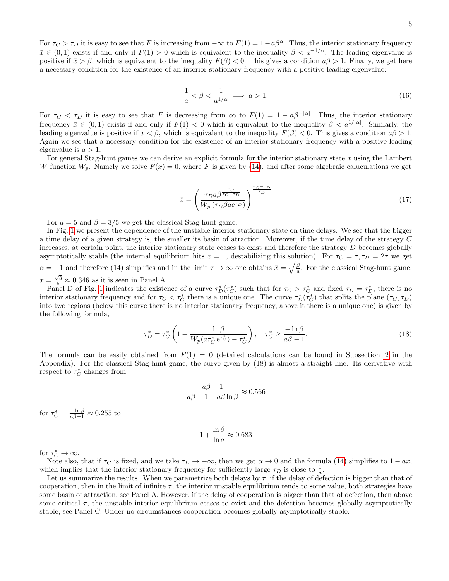For  $\tau_C > \tau_D$  it is easy to see that F is increasing from  $-\infty$  to  $F(1) = 1 - a\beta^{\alpha}$ . Thus, the interior stationary frequency  $\bar{x} \in (0,1)$  exists if and only if  $F(1) > 0$  which is equivalent to the inequality  $\beta < a^{-1/\alpha}$ . The leading eigenvalue is positive if  $\bar{x} > \beta$ , which is equivalent to the inequality  $F(\beta) < 0$ . This gives a condition  $a\beta > 1$ . Finally, we get here a necessary condition for the existence of an interior stationary frequency with a positive leading eigenvalue:

$$
\frac{1}{a} < \beta < \frac{1}{a^{1/\alpha}} \implies a > 1. \tag{16}
$$

For  $\tau_C < \tau_D$  it is easy to see that F is decreasing from  $\infty$  to  $F(1) = 1 - a\beta^{-|\alpha|}$ . Thus, the interior stationary frequency  $\bar{x} \in (0,1)$  exists if and only if  $F(1) < 0$  which is equivalent to the inequality  $\beta < a^{1/|\alpha|}$ . Similarly, the leading eigenvalue is positive if  $\bar{x} < \beta$ , which is equivalent to the inequality  $F(\beta) < 0$ . This gives a condition  $a\beta > 1$ . Again we see that a necessary condition for the existence of an interior stationary frequency with a positive leading eigenvalue is  $a > 1$ .

For general Stag-hunt games we can derive an explicit formula for the interior stationary state  $\bar{x}$  using the Lambert W function  $W_p$ . Namely we solve  $F(x) = 0$ , where F is given by [\(14\)](#page-3-1), and after some algebraic caluculations we get

$$
\bar{x} = \left(\frac{\tau_D a \beta^{\frac{\tau_C}{\tau_C - \tau_D}}}{W_p (\tau_D \beta a e^{\tau_D})}\right)^{\frac{\tau_C - \tau_D}{\tau_D}}
$$
\n(17)

For  $a = 5$  and  $\beta = 3/5$  we get the classical Stag-hunt game.

In Fig. [1](#page-5-0) we present the dependence of the unstable interior stationary state on time delays. We see that the bigger a time delay of a given strategy is, the smaller its basin of atraction. Moreover, if the time delay of the strategy C increases, at certain point, the interior stationary state ceases to exist and therefore the strategy D becomes globally asymptotically stable (the internal equilibrium hits  $x = 1$ , destabilizing this solution). For  $\tau_C = \tau, \tau_D = 2\tau$  we get  $\alpha = -1$  and therefore (14) simplifies and in the limit  $\tau \to \infty$  one obtains  $\bar{x} = \sqrt{\frac{\beta}{a}}$ . For the classical Stag-hunt game,  $\bar{x} = \frac{\sqrt{3}}{5} \approx 0.346$  as it is seen in Panel A.

Panel D of Fig. [1](#page-5-0) indicates the existence of a curve  $\tau_D^*(\tau_C^*)$  such that for  $\tau_C > \tau_C^*$  and fixed  $\tau_D = \tau_D^*$ , there is no interior stationary frequency and for  $\tau_C < \tau_C^*$  there is a unique one. The curve  $\tau_D^*(\tau_C^*)$  that splits the plane  $(\tau_C, \tau_D)$ into two regions (below this curve there is no interior stationary frequency, above it there is a unique one) is given by the following formula,

$$
\tau_D^* = \tau_C^* \left( 1 + \frac{\ln \beta}{W_p(a \tau_C^* e^{\tau_C^*}) - \tau_C^*} \right), \quad \tau_C^* \ge \frac{-\ln \beta}{a\beta - 1}.
$$
\n(18)

The formula can be easily obtained from  $F(1) = 0$  (detailed calculations can be found in Subsection [2](#page-13-0) in the Appendix). For the classical Stag-hunt game, the curve given by (18) is almost a straight line. Its derivative with respect to  $\tau_C^*$  changes from

$$
\frac{a\beta - 1}{a\beta - 1 - a\beta \ln \beta} \approx 0.566
$$

for  $\tau_C^* = \frac{-\ln \beta}{a\beta - 1} \approx 0.255$  to

$$
1 + \frac{\ln \beta}{\ln a} \approx 0.683
$$

for  $\tau_C^* \to \infty$ .

Note also, that if  $\tau_C$  is fixed, and we take  $\tau_D \to +\infty$ , then we get  $\alpha \to 0$  and the formula [\(14\)](#page-3-1) simplifies to  $1 - ax$ , which implies that the interior stationary frequency for sufficiently large  $\tau_D$  is close to  $\frac{1}{a}$ .

Let us summarize the results. When we parametrize both delays by  $\tau$ , if the delay of defection is bigger than that of cooperation, then in the limit of infinite  $\tau$ , the interior unstable equilibrium tends to some value, both strategies have some basin of attraction, see Panel A. However, if the delay of cooperation is bigger than that of defection, then above some critical  $\tau$ , the unstable interior equilibrium ceases to exist and the defection becomes globally asymptotically stable, see Panel C. Under no circumstances cooperation becomes globally asymptotically stable.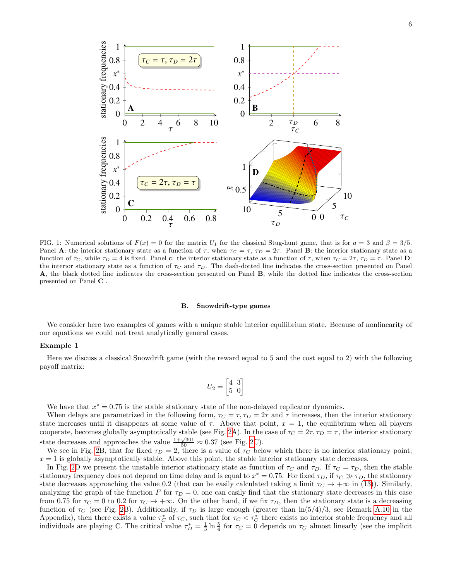

<span id="page-5-0"></span>FIG. 1: Numerical solutions of  $F(x) = 0$  for the matrix  $U_1$  for the classical Stug-hunt game, that is for  $a = 3$  and  $\beta = 3/5$ . Panel A: the interior stationary state as a function of  $\tau$ , when  $\tau_C = \tau$ ,  $\tau_D = 2\tau$ . Panel B: the interior stationary state as a function of  $\tau_c$ , while  $\tau_D = 4$  is fixed. Panel c: the interior stationary state as a function of  $\tau$ , when  $\tau_c = 2\tau$ ,  $\tau_D = \tau$ . Panel D: the interior stationary state as a function of  $\tau_C$  and  $\tau_D$ . The dash-dotted line indicates the cross-section presented on Panel A, the black dotted line indicates the cross-section presented on Panel B, while the dotted line indicates the cross-section presented on Panel C .

## B. Snowdrift-type games

We consider here two examples of games with a unique stable interior equilibrium state. Because of nonlinearity of our equations we could not treat analytically general cases.

## Example 1

Here we discuss a classical Snowdrift game (with the reward equal to 5 and the cost equal to 2) with the following payoff matrix:

$$
U_2 = \begin{bmatrix} 4 & 3 \\ 5 & 0 \end{bmatrix}
$$

We have that  $x^* = 0.75$  is the stable stationary state of the non-delayed replicator dynamics.

When delays are parametrized in the following form,  $\tau_C = \tau$ ,  $\tau_D = 2\tau$  and  $\tau$  increases, then the interior stationary state increases until it disappears at some value of  $\tau$ . Above that point,  $x = 1$ , the equilibrium when all players cooperate, becomes globally asymptotically stable (see Fig. [2A](#page-6-0)). In the case of  $\tau_C = 2\tau, \tau_D = \tau$ , the interior stationary state decreases and approaches the value  $\frac{1+\sqrt{301}}{50} \approx 0.37$  (see Fig. [2C](#page-6-0)).

We see in Fig. [2B](#page-6-0), that for fixed  $\tau_D = 2$ , there is a value of  $\tau_C$  below which there is no interior stationary point;  $x = 1$  is globally asymptotically stable. Above this point, the stable interior stationary state decreases.

In Fig. [2D](#page-6-0) we present the unstable interior stationary state as function of  $\tau_C$  and  $\tau_D$ . If  $\tau_C = \tau_D$ , then the stable stationary frequency does not depend on time delay and is equal to  $x^* = 0.75$ . For fixed  $\tau_D$ , if  $\tau_C \gg \tau_D$ , the stationary state decreases approaching the value 0.2 (that can be easily calculated taking a limit  $\tau_C \to +\infty$  in [\(13\)](#page-3-0)). Similarly, analyzing the graph of the function F for  $\tau_D = 0$ , one can easily find that the stationary state decreases in this case from 0.75 for  $\tau_C = 0$  to 0.2 for  $\tau_C \to +\infty$ . On the other hand, if we fix  $\tau_D$ , then the stationary state is a decreasing function of  $\tau_C$  (see Fig. [2B](#page-6-0)). Additionally, if  $\tau_D$  is large enough (greater than  $\ln(5/4)/3$ , see Remark [A.10](#page-13-1) in the Appendix), then there exists a value  $\tau_C^*$  of  $\tau_C$ , such that for  $\tau_C < \tau_C^*$  there exists no interior stable frequency and all individuals are playing C. The critical value  $\tau_D^* = \frac{1}{3} \ln \frac{5}{4}$  for  $\tau_C = 0$  depends on  $\tau_C$  almost linearly (see the implicit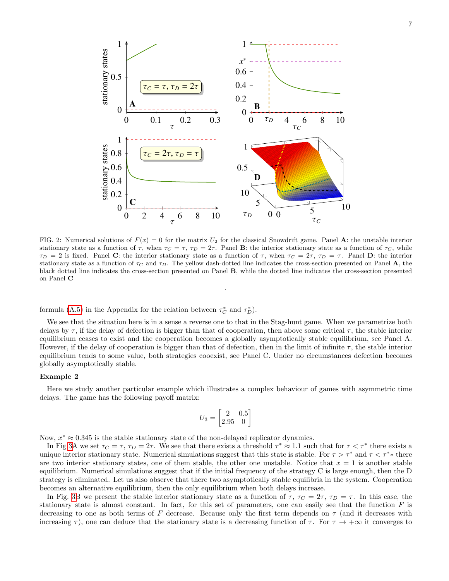

<span id="page-6-0"></span>FIG. 2: Numerical solutions of  $F(x) = 0$  for the matrix  $U_2$  for the classical Snowdrift game. Panel **A**: the unstable interior stationary state as a function of  $\tau$ , when  $\tau_c = \tau$ ,  $\tau_D = 2\tau$ . Panel B: the interior stationary state as a function of  $\tau_c$ , while  $\tau_D = 2$  is fixed. Panel C: the interior stationary state as a function of  $\tau$ , when  $\tau_C = 2\tau$ ,  $\tau_D = \tau$ . Panel D: the interior stationary state as a function of  $\tau_C$  and  $\tau_D$ . The yellow dash-dotted line indicates the cross-section presented on Panel A, the black dotted line indicates the cross-section presented on Panel B, while the dotted line indicates the cross-section presented on Panel C

.

formula [\(A.5\)](#page-13-2) in the Appendix for the relation between  $\tau_C^*$  and  $\tau_D^*$ ).

We see that the situation here is in a sense a reverse one to that in the Stag-hunt game. When we parametrize both delays by  $\tau$ , if the delay of defection is bigger than that of cooperation, then above some critical  $\tau$ , the stable interior equilibrium ceases to exist and the cooperation becomes a globally asymptotically stable equilibrium, see Panel A. However, if the delay of cooperation is bigger than that of defection, then in the limit of infinite  $\tau$ , the stable interior equilibrium tends to some value, both strategies cooexist, see Panel C. Under no circumstances defection becomes globally asymptotically stable.

# Example 2

Here we study another particular example which illustrates a complex behaviour of games with asymmetric time delays. The game has the following payoff matrix:

$$
U_3 = \begin{bmatrix} 2 & 0.5 \\ 2.95 & 0 \end{bmatrix}
$$

Now,  $x^* \approx 0.345$  is the stable stationary state of the non-delayed replicator dynamics.

In Fig [3A](#page-7-0) we set  $\tau_C = \tau$ ,  $\tau_D = 2\tau$ . We see that there exists a threshold  $\tau^* \approx 1.1$  such that for  $\tau < \tau^*$  there exists a unique interior stationary state. Numerical simulations suggest that this state is stable. For  $\tau > \tau^*$  and  $\tau < \tau^*$  there are two interior stationary states, one of them stable, the other one unstable. Notice that  $x = 1$  is another stable equilibrium. Numerical simulations suggest that if the initial frequency of the strategy C is large enough, then the D strategy is eliminated. Let us also observe that there two asymptotically stable equilibria in the system. Cooperation becomes an alternative equilibrium, then the only equilibrium when both delays increase.

In Fig. [3B](#page-7-0) we present the stable interior stationary state as a function of  $\tau$ ,  $\tau_C = 2\tau$ ,  $\tau_D = \tau$ . In this case, the stationary state is almost constant. In fact, for this set of parameters, one can easily see that the function  $F$  is decreasing to one as both terms of F decrease. Because only the first term depends on  $\tau$  (and it decreases with increasing  $\tau$ ), one can deduce that the stationary state is a decreasing function of  $\tau$ . For  $\tau \to +\infty$  it converges to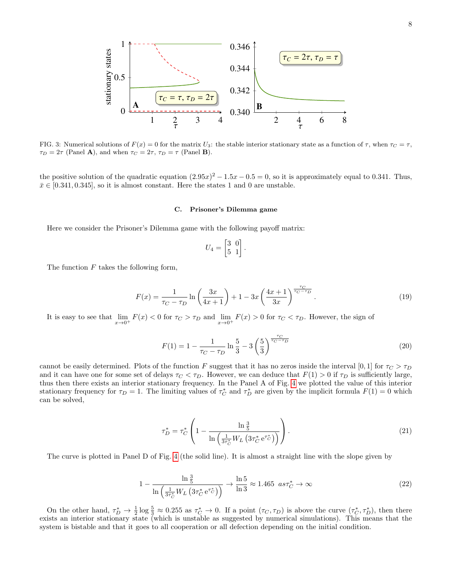

<span id="page-7-0"></span>FIG. 3: Numerical solutions of  $F(x) = 0$  for the matrix U<sub>3</sub>: the stable interior stationary state as a function of  $\tau$ , when  $\tau_c = \tau$ ,  $\tau_D = 2\tau$  (Panel **A**), and when  $\tau_C = 2\tau$ ,  $\tau_D = \tau$  (Panel **B**).

the positive solution of the quadratic equation  $(2.95x)^2 - 1.5x - 0.5 = 0$ , so it is approximately equal to 0.341. Thus,  $\bar{x} \in [0.341, 0.345]$ , so it is almost constant. Here the states 1 and 0 are unstable.

## C. Prisoner's Dilemma game

Here we consider the Prisoner's Dilemma game with the following payoff matrix:

$$
U_4 = \begin{bmatrix} 3 & 0 \\ 5 & 1 \end{bmatrix}.
$$

The function  $F$  takes the following form,

$$
F(x) = \frac{1}{\tau_C - \tau_D} \ln \left( \frac{3x}{4x+1} \right) + 1 - 3x \left( \frac{4x+1}{3x} \right)^{\frac{\tau_C}{\tau_C - \tau_D}}.
$$
 (19)

It is easy to see that  $\lim_{x\to 0^+} F(x) < 0$  for  $\tau_C > \tau_D$  and  $\lim_{x\to 0^+} F(x) > 0$  for  $\tau_C < \tau_D$ . However, the sign of

$$
F(1) = 1 - \frac{1}{\tau_C - \tau_D} \ln \frac{5}{3} - 3\left(\frac{5}{3}\right)^{\frac{\tau_C}{\tau_C - \tau_D}}
$$
\n(20)

cannot be easily determined. Plots of the function F suggest that it has no zeros inside the interval [0, 1] for  $\tau_C > \tau_D$ and it can have one for some set of delays  $\tau_C < \tau_D$ . However, we can deduce that  $F(1) > 0$  if  $\tau_D$  is sufficiently large, thus then there exists an interior stationary frequency. In the Panel A of Fig. [4](#page-8-0) we plotted the value of this interior stationary frequency for  $\tau_D = 1$ . The limiting values of  $\tau_C^*$  and  $\tau_D^*$  are given by the implicit formula  $F(1) = 0$  which can be solved,

$$
\tau_D^* = \tau_C^* \left( 1 - \frac{\ln \frac{3}{5}}{\ln \left( \frac{1}{3\tau_C^*} W_L \left( 3\tau_C^* e^{\tau_C^*} \right) \right)} \right). \tag{21}
$$

The curve is plotted in Panel D of Fig. [4](#page-8-0) (the solid line). It is almost a straight line with the slope given by

$$
1 - \frac{\ln\frac{3}{5}}{\ln\left(\frac{1}{3\tau_C^*}W_L\left(3\tau_C^*\,\mathrm{e}^{\tau_C^*}\right)\right)} \to \frac{\ln 5}{\ln 3} \approx 1.465 \quad as\tau_C^* \to \infty \tag{22}
$$

On the other hand,  $\tau_D^* \to \frac{1}{2} \log \frac{5}{3} \approx 0.255$  as  $\tau_C^* \to 0$ . If a point  $(\tau_C, \tau_D)$  is above the curve  $(\tau_C^*, \tau_D^*)$ , then there exists an interior stationary state (which is unstable as suggested by numerical simulations). This means that the system is bistable and that it goes to all cooperation or all defection depending on the initial condition.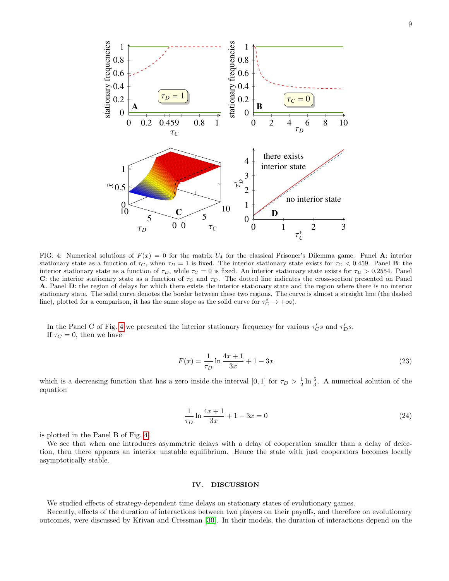

<span id="page-8-0"></span>FIG. 4: Numerical solutions of  $F(x) = 0$  for the matrix  $U_4$  for the classical Prisoner's Dilemma game. Panel A: interior stationary state as a function of  $\tau_C$ , when  $\tau_D = 1$  is fixed. The interior stationary state exists for  $\tau_C < 0.459$ . Panel **B**: the interior stationary state as a function of  $\tau_D$ , while  $\tau_C = 0$  is fixed. An interior stationary state exists for  $\tau_D > 0.2554$ . Panel C: the interior stationary state as a function of  $\tau_c$  and  $\tau_D$ . The dotted line indicates the cross-section presented on Panel A. Panel D: the region of delays for which there exists the interior stationary state and the region where there is no interior stationary state. The solid curve denotes the border between these two regions. The curve is almost a straight line (the dashed line), plotted for a comparison, it has the same slope as the solid curve for  $\tau_C^* \to +\infty$ ).

In the Panel C of Fig. [4](#page-8-0) we presented the interior stationary frequency for various  $\tau_C's$  and  $\tau_D's$ . If  $\tau_C = 0$ , then we have

$$
F(x) = \frac{1}{\tau_D} \ln \frac{4x + 1}{3x} + 1 - 3x \tag{23}
$$

which is a decreasing function that has a zero inside the interval [0, 1] for  $\tau_D > \frac{1}{2} \ln \frac{5}{3}$ . A numerical solution of the equation

$$
\frac{1}{\tau_D} \ln \frac{4x+1}{3x} + 1 - 3x = 0 \tag{24}
$$

is plotted in the Panel B of Fig. [4.](#page-8-0)

We see that when one introduces asymmetric delays with a delay of cooperation smaller than a delay of defection, then there appears an interior unstable equilibrium. Hence the state with just cooperators becomes locally asymptotically stable.

# IV. DISCUSSION

We studied effects of strategy-dependent time delays on stationary states of evolutionary games.

Recently, effects of the duration of interactions between two players on their payoffs, and therefore on evolutionary outcomes, were discussed by Křivan and Cressman [\[30\]](#page-15-14). In their models, the duration of interactions depend on the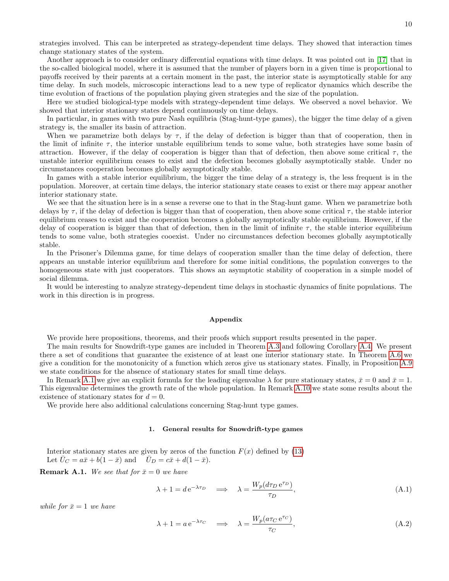strategies involved. This can be interpreted as strategy-dependent time delays. They showed that interaction times change stationary states of the system.

Another approach is to consider ordinary differential equations with time delays. It was pointed out in [\[17\]](#page-15-8) that in the so-called biological model, where it is assumed that the number of players born in a given time is proportional to payoffs received by their parents at a certain moment in the past, the interior state is asymptotically stable for any time delay. In such models, microscopic interactions lead to a new type of replicator dynamics which describe the time evolution of fractions of the population playing given strategies and the size of the population.

Here we studied biological-type models with strategy-dependent time delays. We observed a novel behavior. We showed that interior stationary states depend continuously on time delays.

In particular, in games with two pure Nash equilibria (Stag-hunt-type games), the bigger the time delay of a given strategy is, the smaller its basin of attraction.

When we parametrize both delays by  $\tau$ , if the delay of defection is bigger than that of cooperation, then in the limit of infinite  $\tau$ , the interior unstable equilibrium tends to some value, both strategies have some basin of attraction. However, if the delay of cooperation is bigger than that of defection, then above some critical  $\tau$ , the unstable interior equilibrium ceases to exist and the defection becomes globally asymptotically stable. Under no circumstances cooperation becomes globally asymptotically stable.

In games with a stable interior equilibrium, the bigger the time delay of a strategy is, the less frequent is in the population. Moreover, at certain time delays, the interior stationary state ceases to exist or there may appear another interior stationary state.

We see that the situation here is in a sense a reverse one to that in the Stag-hunt game. When we parametrize both delays by  $\tau$ , if the delay of defection is bigger than that of cooperation, then above some critical  $\tau$ , the stable interior equilibrium ceases to exist and the cooperation becomes a globally asymptotically stable equilibrium. However, if the delay of cooperation is bigger than that of defection, then in the limit of infinite  $\tau$ , the stable interior equilibrium tends to some value, both strategies cooexist. Under no circumstances defection becomes globally asymptotically stable.

In the Prisoner's Dilemma game, for time delays of cooperation smaller than the time delay of defection, there appears an unstable interior equilibrium and therefore for some initial conditions, the population converges to the homogeneous state with just cooperators. This shows an asymptotic stability of cooperation in a simple model of social dilemma.

It would be interesting to analyze strategy-dependent time delays in stochastic dynamics of finite populations. The work in this direction is in progress.

### Appendix

We provide here propositions, theorems, and their proofs which support results presented in the paper.

The main results for Snowdrift-type games are included in Theorem [A.3](#page-10-0) and following Corollary [A.4.](#page-11-0) We present there a set of conditions that guarantee the existence of at least one interior stationary state. In Theorem [A.6](#page-11-1) we give a condition for the monotonicity of a function which zeros give us stationary states. Finally, in Proposition [A.9](#page-12-0) we state conditions for the absence of stationary states for small time delays.

In Remark [A.1](#page-2-5) we give an explicit formula for the leading eigenvalue  $\lambda$  for pure stationary states,  $\bar{x} = 0$  and  $\bar{x} = 1$ . This eigenvalue determines the growth rate of the whole population. In Remark [A.10](#page-13-1) we state some results about the existence of stationary states for  $d = 0$ .

We provide here also additional calculations concerning Stag-hunt type games.

## <span id="page-9-0"></span>1. General results for Snowdrift-type games

Interior stationary states are given by zeros of the function  $F(x)$  defined by [\(13\)](#page-3-0) Let  $\bar{U}_C = a\bar{x} + b(1-\bar{x})$  and  $\bar{U}_D = c\bar{x} + d(1-\bar{x})$ .

**Remark A.1.** We see that for  $\bar{x} = 0$  we have

$$
\lambda + 1 = de^{-\lambda \tau_D} \implies \lambda = \frac{W_p(d\tau_D e^{\tau_D})}{\tau_D},
$$
\n(A.1)

while for  $\bar{x}=1$  we have

$$
\lambda + 1 = a e^{-\lambda \tau_C} \implies \lambda = \frac{W_p(a \tau_C e^{\tau_C})}{\tau_C},
$$
\n(A.2)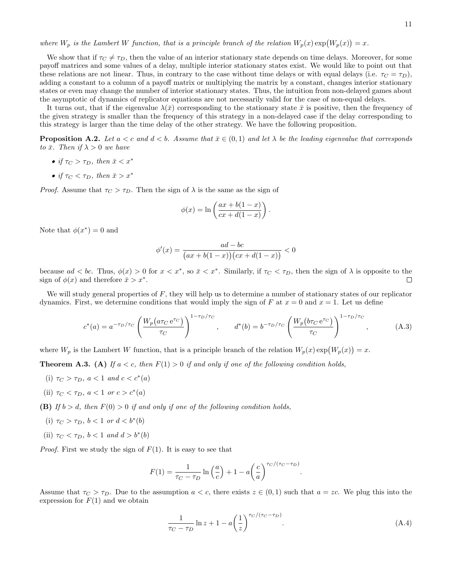where  $W_p$  is the Lambert W function, that is a principle branch of the relation  $W_p(x) \exp(W_p(x)) = x$ .

We show that if  $\tau_C \neq \tau_D$ , then the value of an interior stationary state depends on time delays. Moreover, for some payoff matrices and some values of a delay, multiple interior stationary states exist. We would like to point out that these relations are not linear. Thus, in contrary to the case without time delays or with equal delays (i.e.  $\tau_C = \tau_D$ ), adding a constant to a column of a payoff matrix or multiplying the matrix by a constant, changes interior stationary states or even may change the number of interior stationary states. Thus, the intuition from non-delayed games about the asymptotic of dynamics of replicator equations are not necessarily valid for the case of non-equal delays.

It turns out, that if the eigenvalue  $\lambda(\bar{x})$  corresponding to the stationary state  $\bar{x}$  is positive, then the frequency of the given strategy is smaller than the frequency of this strategy in a non-delayed case if the delay corresponding to this strategy is larger than the time delay of the other strategy. We have the following proposition.

**Proposition A.2.** Let  $a < c$  and  $d < b$ . Assume that  $\bar{x} \in (0,1)$  and let  $\lambda$  be the leading eigenvalue that corresponds to  $\bar{x}$ . Then if  $\lambda > 0$  we have

- if  $\tau_C > \tau_D$ , then  $\bar{x} < x^*$
- if  $\tau_C < \tau_D$ , then  $\bar{x} > x^*$

*Proof.* Assume that  $\tau_C > \tau_D$ . Then the sign of  $\lambda$  is the same as the sign of

$$
\phi(x) = \ln\left(\frac{ax + b(1-x)}{cx + d(1-x)}\right).
$$

Note that  $\phi(x^*) = 0$  and

$$
\phi'(x) = \frac{ad - bc}{(ax + b(1 - x))(cx + d(1 - x))} < 0
$$

because  $ad < bc$ . Thus,  $\phi(x) > 0$  for  $x < x^*$ , so  $\bar{x} < x^*$ . Similarly, if  $\tau_C < \tau_D$ , then the sign of  $\lambda$  is opposite to the sign of  $\phi(x)$  and therefore  $\bar{x} > x^*$ . □

We will study general properties of  $F$ , they will help us to determine a number of stationary states of our replicator dynamics. First, we determine conditions that would imply the sign of F at  $x = 0$  and  $x = 1$ . Let us define

<span id="page-10-1"></span>
$$
c^*(a) = a^{-\tau_D/\tau_C} \left(\frac{W_p(a\tau_C e^{\tau_C})}{\tau_C}\right)^{1-\tau_D/\tau_C}, \qquad d^*(b) = b^{-\tau_D/\tau_C} \left(\frac{W_p(b\tau_C e^{\tau_C})}{\tau_C}\right)^{1-\tau_D/\tau_C}, \tag{A.3}
$$

where  $W_p$  is the Lambert W function, that is a principle branch of the relation  $W_p(x) \exp(W_p(x)) = x$ .

<span id="page-10-0"></span>**Theorem A.3.** (A) If  $a < c$ , then  $F(1) > 0$  if and only if one of the following condition holds,

- (i)  $\tau_C > \tau_D$ ,  $a < 1$  and  $c < c^*(a)$
- (ii)  $\tau_C < \tau_D$ ,  $a < 1$  or  $c > c^*(a)$

**(B)** If  $b > d$ , then  $F(0) > 0$  if and only if one of the following condition holds,

- (i)  $\tau_C > \tau_D$ ,  $b < 1$  or  $d < b^*(b)$
- (ii)  $\tau_C < \tau_D$ ,  $b < 1$  and  $d > b^*(b)$

*Proof.* First we study the sign of  $F(1)$ . It is easy to see that

$$
F(1) = \frac{1}{\tau_C - \tau_D} \ln\left(\frac{a}{c}\right) + 1 - a\left(\frac{c}{a}\right)^{\tau_C/(\tau_C - \tau_D)}.
$$

Assume that  $\tau_C > \tau_D$ . Due to the assumption  $a < c$ , there exists  $z \in (0,1)$  such that  $a = zc$ . We plug this into the expression for  $F(1)$  and we obtain

$$
\frac{1}{\tau_C - \tau_D} \ln z + 1 - a \left(\frac{1}{z}\right)^{\tau_C/(\tau_C - \tau_D)}.
$$
\n(A.4)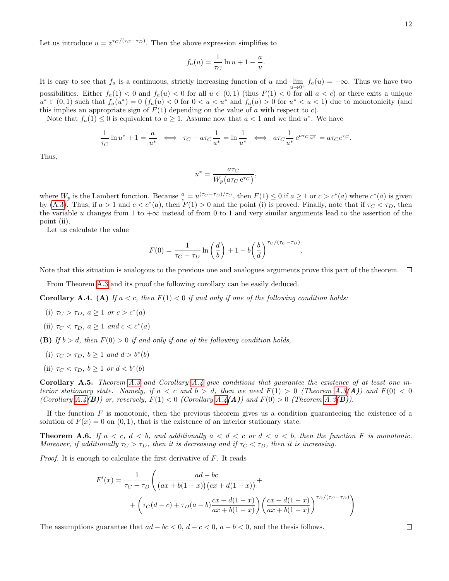Let us introduce  $u = z^{\tau_C/(\tau_C - \tau_D)}$ . Then the above expression simplifies to

$$
f_a(u) = \frac{1}{\tau_C} \ln u + 1 - \frac{a}{u}.
$$

It is easy to see that  $f_a$  is a continuous, strictly increasing function of u and  $\lim_{u\to 0^+} f_a(u) = -\infty$ . Thus we have two possibilities. Either  $f_a(1) < 0$  and  $f_a(u) < 0$  for all  $u \in (0,1)$  (thus  $F(1) < 0$  for all  $a < c$ ) or there exits a unique  $u^* \in (0,1)$  such that  $f_a(u^*) = 0$   $(f_a(u) < 0$  for  $0 < u < u^*$  and  $f_a(u) > 0$  for  $u^* < u < 1$ ) due to monotonicity (and this implies an appropriate sign of  $F(1)$  depending on the value of a with respect to c).

Note that  $f_a(1) \leq 0$  is equivalent to  $a \geq 1$ . Assume now that  $a < 1$  and we find  $u^*$ . We have

$$
\frac{1}{\tau_C} \ln u^* + 1 = \frac{a}{u^*} \iff \tau_C - a \tau_C \frac{1}{u^*} = \ln \frac{1}{u^*} \iff a \tau_C \frac{1}{u^*} e^{a \tau_C \frac{1}{u^*}} = a \tau_C e^{\tau_C}.
$$

Thus,

$$
u^* = \frac{a\tau_C}{W_p(a\tau_C e^{\tau_C})},
$$

where  $W_p$  is the Lambert function. Because  $\frac{a}{c} = u^{(\tau_C - \tau_D)/\tau_C}$ , then  $F(1) \leq 0$  if  $a \geq 1$  or  $c > c^*(a)$  where  $c^*(a)$  is given by [\(A.3\)](#page-10-1). Thus, if  $a > 1$  and  $c < c^*(a)$ , then  $F(1) > 0$  and the point (i) is proved. Finally, note that if  $\tau_C < \tau_D$ , then the variable u changes from 1 to  $+\infty$  instead of from 0 to 1 and very similar arguments lead to the assertion of the point (ii).

Let us calculate the value

$$
F(0) = \frac{1}{\tau_C - \tau_D} \ln\left(\frac{d}{b}\right) + 1 - b\left(\frac{b}{d}\right)^{\tau_C/(\tau_C - \tau_D)}.
$$

Note that this situation is analogous to the previous one and analogues arguments prove this part of the theorem.  $\Box$ 

From Theorem [A.3](#page-10-0) and its proof the following corollary can be easily deduced.

<span id="page-11-0"></span>**Corollary A.4.** (A) If  $a < c$ , then  $F(1) < 0$  if and only if one of the following condition holds:

- (i)  $\tau_C > \tau_D, \ a \geq 1 \ \text{or} \ c > c^*(a)$
- (ii)  $\tau_C < \tau_D$ ,  $a \geq 1$  and  $c < c^*(a)$

**(B)** If  $b > d$ , then  $F(0) > 0$  if and only if one of the following condition holds,

- (i)  $\tau_C > \tau_D$ ,  $b \ge 1$  and  $d > b^*(b)$
- (ii)  $\tau_C < \tau_D$ ,  $b \geq 1$  or  $d < b^*(b)$

**Corollary A.5.** Theorem [A.3](#page-10-0) and Corollary [A.4](#page-11-0) give conditions that guarantee the existence of at least one interior stationary state. Namely, if  $a < c$  and  $b > d$ , then we need  $F(1) > 0$  (Theorem [A.3](#page-10-0)(A)) and  $F(0) < 0$ (Corollary  $A.4(B)$ ) or, reversely,  $F(1) < 0$  (Corollary  $A.4(A)$ ) and  $F(0) > 0$  (Theorem  $A.3(B)$ ).

If the function  $F$  is monotonic, then the previous theorem gives us a condition guaranteeing the existence of a solution of  $F(x) = 0$  on  $(0, 1)$ , that is the existence of an interior stationary state.

<span id="page-11-1"></span>**Theorem A.6.** If  $a < c, d < b$ , and additionally  $a < d < c$  or  $d < a < b$ , then the function F is monotonic. Moreover, if additionally  $\tau_C > \tau_D$ , then it is decreasing and if  $\tau_C < \tau_D$ , then it is increasing.

Proof. It is enough to calculate the first derivative of F. It reads

$$
F'(x) = \frac{1}{\tau_C - \tau_D} \left( \frac{ad - bc}{(ax + b(1 - x))(cx + d(1 - x))} + \left( \tau_C(d - c) + \tau_D(a - b) \frac{cx + d(1 - x)}{ax + b(1 - x)} \right) \left( \frac{cx + d(1 - x)}{ax + b(1 - x)} \right)^{\tau_D/(\tau_C - \tau_D)} \right)
$$

The assumptions guarantee that  $ad - bc < 0$ ,  $d - c < 0$ ,  $a - b < 0$ , and the thesis follows.

 $\Box$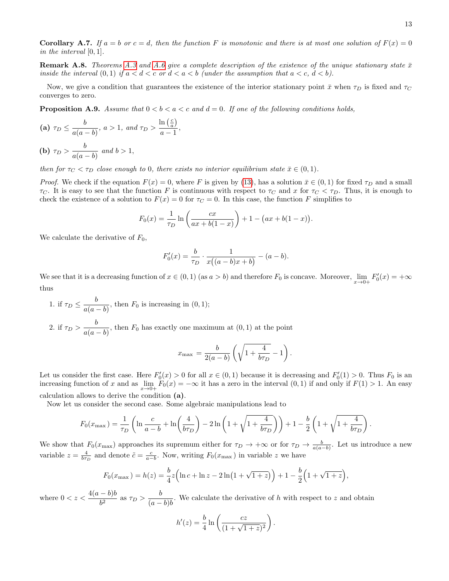**Corollary A.7.** If  $a = b$  or  $c = d$ , then the function F is monotonic and there is at most one solution of  $F(x) = 0$ in the interval [0, 1].

**Remark A.8.** Theorems [A.3](#page-10-0) and [A.6](#page-11-1) give a complete description of the existence of the unique stationary state  $\bar{x}$ inside the interval  $(0, 1)$  if  $a < d < c$  or  $d < a < b$  (under the assumption that  $a < c, d < b$ ).

Now, we give a condition that guarantees the existence of the interior stationary point  $\bar{x}$  when  $\tau_D$  is fixed and  $\tau_C$ converges to zero.

<span id="page-12-0"></span>**Proposition A.9.** Assume that  $0 < b < a < c$  and  $d = 0$ . If one of the following conditions holds,

(a) 
$$
\tau_D \leq \frac{b}{a(a-b)}, a > 1
$$
, and  $\tau_D > \frac{\ln(\frac{c}{a})}{a-1}$ ,

**(b)** 
$$
\tau_D > \frac{b}{a(a-b)}
$$
 and  $b > 1$ ,

then for  $\tau_C < \tau_D$  close enough to 0, there exists no interior equilibrium state  $\bar{x} \in (0,1)$ .

*Proof.* We check if the equation  $F(x) = 0$ , where F is given by [\(13\)](#page-3-0), has a solution  $\bar{x} \in (0,1)$  for fixed  $\tau_D$  and a small  $\tau_C$ . It is easy to see that the function F is continuous with respect to  $\tau_C$  and x for  $\tau_C < \tau_D$ . Thus, it is enough to check the existence of a solution to  $F(x) = 0$  for  $\tau_C = 0$ . In this case, the function F simplifies to

$$
F_0(x) = \frac{1}{\tau_D} \ln \left( \frac{cx}{ax + b(1-x)} \right) + 1 - (ax + b(1-x)).
$$

We calculate the derivative of  $F_0$ ,

$$
F_0'(x) = \frac{b}{\tau_D} \cdot \frac{1}{x((a-b)x + b)} - (a-b).
$$

We see that it is a decreasing function of  $x \in (0,1)$  (as  $a > b$ ) and therefore  $F_0$  is concave. Moreover,  $\lim_{x\to 0+} F'_0(x) = +\infty$ thus

1. if  $\tau_D \leq \frac{b}{\sqrt{a}}$  $\frac{a}{a(a-b)}$ , then  $F_0$  is increasing in  $(0, 1)$ ; 2. if  $\tau_D > \frac{b}{\sqrt{a}}$  $\frac{0}{a(a-b)}$ , then  $F_0$  has exactly one maximum at  $(0,1)$  at the point

$$
x_{\max} = \frac{b}{2(a-b)} \left( \sqrt{1 + \frac{4}{b\tau_D}} - 1 \right).
$$

Let us consider the first case. Here  $F_0'(x) > 0$  for all  $x \in (0,1)$  because it is decreasing and  $F_0'(1) > 0$ . Thus  $F_0$  is an increasing function of x and as  $\lim_{x\to 0+} F_0(x) = -\infty$  it has a zero in the interval  $(0, 1)$  if and only if  $F(1) > 1$ . An easy calculation allows to derive the condition (a).

Now let us consider the second case. Some algebraic manipulations lead to

$$
F_0(x_{\max}) = \frac{1}{\tau_D} \left( \ln \frac{c}{a - b} + \ln \left( \frac{4}{b \tau_D} \right) - 2 \ln \left( 1 + \sqrt{1 + \frac{4}{b \tau_D}} \right) \right) + 1 - \frac{b}{2} \left( 1 + \sqrt{1 + \frac{4}{b \tau_D}} \right).
$$

We show that  $F_0(x_{\text{max}})$  approaches its supremum either for  $\tau_D \to +\infty$  or for  $\tau_D \to \frac{b}{a(a-b)}$ . Let us introduce a new variable  $z = \frac{4}{b\tau_D}$  and denote  $\tilde{c} = \frac{c}{a-b}$ . Now, writing  $F_0(x_{\text{max}})$  in variable z we have

$$
F_0(x_{\max}) = h(z) = \frac{b}{4}z \Big( \ln c + \ln z - 2\ln\left(1 + \sqrt{1+z}\right) \Big) + 1 - \frac{b}{2}\Big(1 + \sqrt{1+z}\Big),
$$

where  $0 < z < \frac{4(a-b)b}{a^2}$  $\frac{-b}{b^2}$  as  $\tau_D > \frac{b}{(a-b)}$  $\frac{0}{(a-b)b}$ . We calculate the derivative of h with respect to z and obtain

$$
h'(z) = \frac{b}{4} \ln \left( \frac{cz}{(1 + \sqrt{1 + z})^2} \right).
$$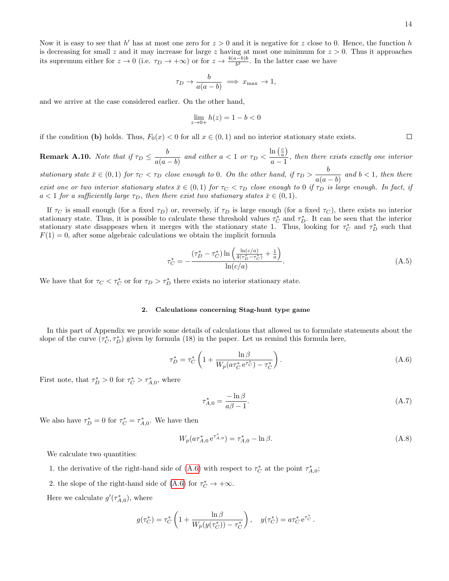$\Box$ 

Now it is easy to see that  $h'$  has at most one zero for  $z > 0$  and it is negative for z close to 0. Hence, the function h is decreasing for small z and it may increase for large z having at most one minimum for  $z > 0$ . Thus it approaches its supremum either for  $z \to 0$  (i.e.  $\tau_D \to +\infty$ ) or for  $z \to \frac{4(a-b)b}{b^2}$ . In the latter case we have

$$
\tau_D \to \frac{b}{a(a-b)} \implies x_{\text{max}} \to 1,
$$

and we arrive at the case considered earlier. On the other hand,

$$
\lim_{z \to 0+} h(z) = 1 - b < 0
$$

if the condition (b) holds. Thus,  $F_0(x) < 0$  for all  $x \in (0,1)$  and no interior stationary state exists.

<span id="page-13-1"></span>**Remark A.10.** Note that if  $\tau_D \leq \frac{b}{\sqrt{b}}$  $\frac{a}{a(a-b)}$  and either  $a < 1$  or  $\tau_D <$  $\ln\left(\frac{c}{a}\right)$  $\frac{d\mathbf{a} \cdot \mathbf{a}'}{d\mathbf{a} - 1}$ , then there exists exactly one interior stationary state  $\bar{x} \in (0,1)$  for  $\tau_C < \tau_D$  close enough to 0. On the other hand, if  $\tau_D > \frac{b}{\sigma_D}$  $\frac{b}{a(a-b)}$  and  $b < 1$ , then there exist one or two interior stationary states  $\bar{x} \in (0,1)$  for  $\tau_C < \tau_D$  close enough to 0 if  $\tau_D$  is large enough. In fact, if  $a < 1$  for a sufficiently large  $\tau_D$ , then there exist two stationary states  $\bar{x} \in (0,1)$ .

If  $\tau_C$  is small enough (for a fixed  $\tau_D$ ) or, reversely, if  $\tau_D$  is large enough (for a fixed  $\tau_C$ ), there exists no interior stationary state. Thus, it is possible to calculate these threshold values  $\tau_C^*$  and  $\tau_D^*$ . It can be seen that the interior stationary state disappears when it merges with the stationary state 1. Thus, looking for  $\tau_C^*$  and  $\tau_D^*$  such that  $F(1) = 0$ , after some algebraic calculations we obtain the implicit formula

<span id="page-13-2"></span>
$$
\tau_C^* = -\frac{(\tau_D^* - \tau_C^*) \ln\left(\frac{\ln(c/a)}{4(\tau_D^* - \tau_C^*)} + \frac{1}{a}\right)}{\ln(c/a)}.
$$
\n(A.5)

We have that for  $\tau_C < \tau_C^*$  or for  $\tau_D > \tau_D^*$  there exists no interior stationary state.

# <span id="page-13-0"></span>2. Calculations concerning Stag-hunt type game

In this part of Appendix we provide some details of calculations that allowed us to formulate statements about the slope of the curve  $(\tau_C^*, \tau_D^*)$  given by formula (18) in the paper. Let us remind this formula here,

<span id="page-13-3"></span>
$$
\tau_D^* = \tau_C^* \left( 1 + \frac{\ln \beta}{W_p(a \tau_C^* e^{\tau_C^*}) - \tau_C^*} \right). \tag{A.6}
$$

First note, that  $\tau_D^* > 0$  for  $\tau_C^* > \tau_{A,0}^*$ , where

<span id="page-13-5"></span>
$$
\tau_{A,0}^* = \frac{-\ln \beta}{a\beta - 1}.\tag{A.7}
$$

We also have  $\tau_D^* = 0$  for  $\tau_C^* = \tau_{A,0}^*$ . We have then

<span id="page-13-4"></span>
$$
W_p(a\tau_{A,0}^* e^{\tau_{A,0}^*}) = \tau_{A,0}^* - \ln \beta.
$$
 (A.8)

We calculate two quantities:

- 1. the derivative of the right-hand side of [\(A.6\)](#page-13-3) with respect to  $\tau_C^*$  at the point  $\tau_{A,0}^*$ ;
- 2. the slope of the right-hand side of [\(A.6\)](#page-13-3) for  $\tau_C^* \to +\infty$ .

Here we calculate  $g'(\tau_{A,0}^*)$ , where

$$
g(\tau_C^*) = \tau_C^* \left( 1 + \frac{\ln \beta}{W_p(y(\tau_C^*)) - \tau_C^*} \right), \quad y(\tau_C^*) = a \tau_C^* e^{\tau_C^*}.
$$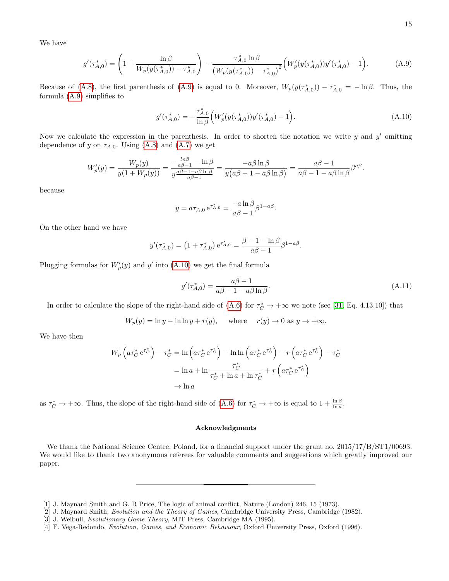We have

<span id="page-14-3"></span>
$$
g'(\tau_{A,0}^*) = \left(1 + \frac{\ln \beta}{W_p(y(\tau_{A,0}^*)) - \tau_{A,0}^*}\right) - \frac{\tau_{A,0}^* \ln \beta}{\left(W_p(y(\tau_{A,0}^*)) - \tau_{A,0}^*\right)^2} \left(W_p'(y(\tau_{A,0}^*))y'(\tau_{A,0}^*) - 1\right). \tag{A.9}
$$

Because of [\(A.8\)](#page-13-4), the first parenthesis of [\(A.9\)](#page-14-3) is equal to 0. Moreover,  $W_p(y(\tau_{A,0}^*)) - \tau_{A,0}^* = -\ln \beta$ . Thus, the formula [\(A.9\)](#page-14-3) simplifies to

<span id="page-14-4"></span>
$$
g'(\tau_{A,0}^*) = -\frac{\tau_{A,0}^*}{\ln \beta} \Big( W_p'(y(\tau_{A,0}^*)) y'(\tau_{A,0}^*) - 1 \Big). \tag{A.10}
$$

Now we calculate the expression in the parenthesis. In order to shorten the notation we write  $y$  and  $y'$  omitting dependence of y on  $\tau_{A,0}$ . Using [\(A.8\)](#page-13-4) and [\(A.7\)](#page-13-5) we get

$$
W_p'(y) = \frac{W_p(y)}{y(1+W_p(y))} = \frac{-\frac{\ln \beta}{a\beta - 1} - \ln \beta}{y\frac{a\beta - 1 - a\beta \ln \beta}{a\beta - 1}} = \frac{-a\beta \ln \beta}{y(a\beta - 1 - a\beta \ln \beta)} = \frac{a\beta - 1}{a\beta - 1 - a\beta \ln \beta} \beta^{a\beta}.
$$

because

$$
y = a\tau_{A,0} e^{\tau_{A,0}^*} = \frac{-a \ln \beta}{a\beta - 1} \beta^{1 - a\beta}.
$$

On the other hand we have

$$
y'(\tau_{A,0}^*) = \left(1 + \tau_{A,0}^*\right) e^{\tau_{A,0}^*} = \frac{\beta - 1 - \ln \beta}{a\beta - 1} \beta^{1 - a\beta}.
$$

Plugging formulas for  $W_p'(y)$  and y' into [\(A.10\)](#page-14-4) we get the final formula

$$
g'(\tau_{A,0}^*) = \frac{a\beta - 1}{a\beta - 1 - a\beta \ln \beta}.
$$
\n(A.11)

In order to calculate the slope of the right-hand side of  $(A.6)$  for  $\tau_C^* \to +\infty$  we note (see [\[31,](#page-15-15) Eq. 4.13.10]) that

$$
W_p(y) = \ln y - \ln \ln y + r(y), \quad \text{ where } \quad r(y) \to 0 \text{ as } y \to +\infty.
$$

We have then

$$
W_p \left( a \tau_C^* e^{\tau_C^*} \right) - \tau_C^* = \ln \left( a \tau_C^* e^{\tau_C^*} \right) - \ln \ln \left( a \tau_C^* e^{\tau_C^*} \right) + r \left( a \tau_C^* e^{\tau_C^*} \right) - \tau_C^*
$$
  
=  $\ln a + \ln \frac{\tau_C^*}{\tau_C^* + \ln a + \ln \tau_C^*} + r \left( a \tau_C^* e^{\tau_C^*} \right)$   
 $\rightarrow \ln a$ 

as  $\tau_C^* \to +\infty$ . Thus, the slope of the right-hand side of [\(A.6\)](#page-13-3) for  $\tau_C^* \to +\infty$  is equal to  $1 + \frac{\ln \beta}{\ln a}$ .

# Acknowledgments

We thank the National Science Centre, Poland, for a financial support under the grant no.  $2015/17/B/ST1/00693$ . We would like to thank two anonymous referees for valuable comments and suggestions which greatly improved our paper.

<span id="page-14-0"></span><sup>[1]</sup> J. Maynard Smith and G. R Price, The logic of animal conflict, Nature (London) 246, 15 (1973).

<span id="page-14-2"></span><sup>[2]</sup> J. Maynard Smith, Evolution and the Theory of Games, Cambridge University Press, Cambridge (1982).

<span id="page-14-1"></span><sup>[3]</sup> J. Weibull, Evolutionary Game Theory, MIT Press, Cambridge MA (1995).

<sup>[4]</sup> F. Vega-Redondo, Evolution, Games, and Economic Behaviour, Oxford University Press, Oxford (1996).